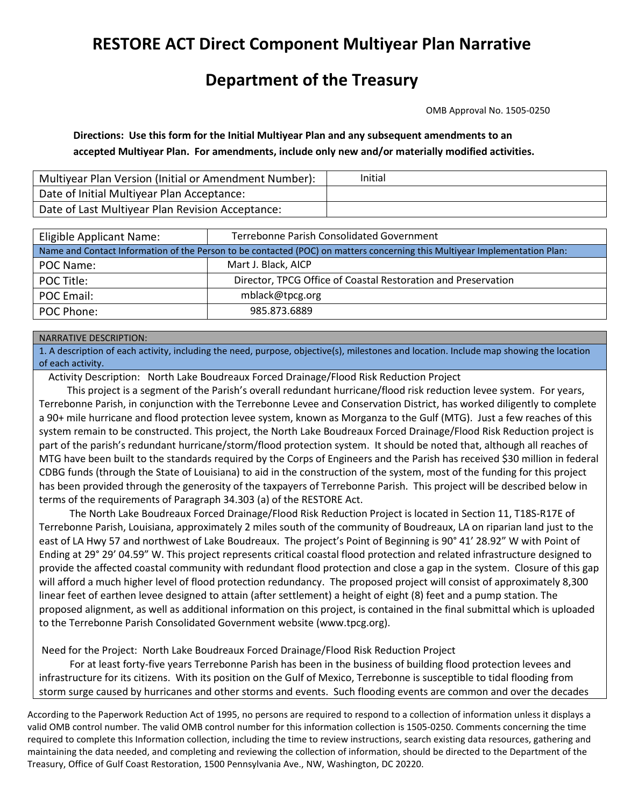# **RESTORE ACT Direct Component Multiyear Plan Narrative**

# **Department of the Treasury**

OMB Approval No. 1505-0250

**Directions: Use this form for the Initial Multiyear Plan and any subsequent amendments to an accepted Multiyear Plan. For amendments, include only new and/or materially modified activities.**

| Multiyear Plan Version (Initial or Amendment Number): | Initial |
|-------------------------------------------------------|---------|
| Date of Initial Multiyear Plan Acceptance:            |         |
| Date of Last Multiyear Plan Revision Acceptance:      |         |

| Eligible Applicant Name:                                                                                                   | <b>Terrebonne Parish Consolidated Government</b>              |  |  |  |  |  |
|----------------------------------------------------------------------------------------------------------------------------|---------------------------------------------------------------|--|--|--|--|--|
| Name and Contact Information of the Person to be contacted (POC) on matters concerning this Multiyear Implementation Plan: |                                                               |  |  |  |  |  |
| POC Name:                                                                                                                  | Mart J. Black, AICP                                           |  |  |  |  |  |
| POC Title:                                                                                                                 | Director, TPCG Office of Coastal Restoration and Preservation |  |  |  |  |  |
| POC Email:                                                                                                                 | mblack@tpcg.org                                               |  |  |  |  |  |
| POC Phone:                                                                                                                 | 985.873.6889                                                  |  |  |  |  |  |

#### NARRATIVE DESCRIPTION:

1. A description of each activity, including the need, purpose, objective(s), milestones and location. Include map showing the location of each activity.

Activity Description: North Lake Boudreaux Forced Drainage/Flood Risk Reduction Project

 This project is a segment of the Parish's overall redundant hurricane/flood risk reduction levee system. For years, Terrebonne Parish, in conjunction with the Terrebonne Levee and Conservation District, has worked diligently to complete a 90+ mile hurricane and flood protection levee system, known as Morganza to the Gulf (MTG). Just a few reaches of this system remain to be constructed. This project, the North Lake Boudreaux Forced Drainage/Flood Risk Reduction project is part of the parish's redundant hurricane/storm/flood protection system. It should be noted that, although all reaches of MTG have been built to the standards required by the Corps of Engineers and the Parish has received \$30 million in federal CDBG funds (through the State of Louisiana) to aid in the construction of the system, most of the funding for this project has been provided through the generosity of the taxpayers of Terrebonne Parish. This project will be described below in terms of the requirements of Paragraph 34.303 (a) of the RESTORE Act.

 The North Lake Boudreaux Forced Drainage/Flood Risk Reduction Project is located in Section 11, T18S-R17E of Terrebonne Parish, Louisiana, approximately 2 miles south of the community of Boudreaux, LA on riparian land just to the east of LA Hwy 57 and northwest of Lake Boudreaux. The project's Point of Beginning is 90° 41' 28.92" W with Point of Ending at 29° 29' 04.59" W. This project represents critical coastal flood protection and related infrastructure designed to provide the affected coastal community with redundant flood protection and close a gap in the system. Closure of this gap will afford a much higher level of flood protection redundancy. The proposed project will consist of approximately 8,300 linear feet of earthen levee designed to attain (after settlement) a height of eight (8) feet and a pump station. The proposed alignment, as well as additional information on this project, is contained in the final submittal which is uploaded to the Terrebonne Parish Consolidated Government website (www.tpcg.org).

Need for the Project: North Lake Boudreaux Forced Drainage/Flood Risk Reduction Project

 For at least forty-five years Terrebonne Parish has been in the business of building flood protection levees and infrastructure for its citizens. With its position on the Gulf of Mexico, Terrebonne is susceptible to tidal flooding from storm surge caused by hurricanes and other storms and events. Such flooding events are common and over the decades

According to the Paperwork Reduction Act of 1995, no persons are required to respond to a collection of information unless it displays a valid OMB control number. The valid OMB control number for this information collection is 1505-0250. Comments concerning the time required to complete this Information collection, including the time to review instructions, search existing data resources, gathering and maintaining the data needed, and completing and reviewing the collection of information, should be directed to the Department of the Treasury, Office of Gulf Coast Restoration, 1500 Pennsylvania Ave., NW, Washington, DC 20220.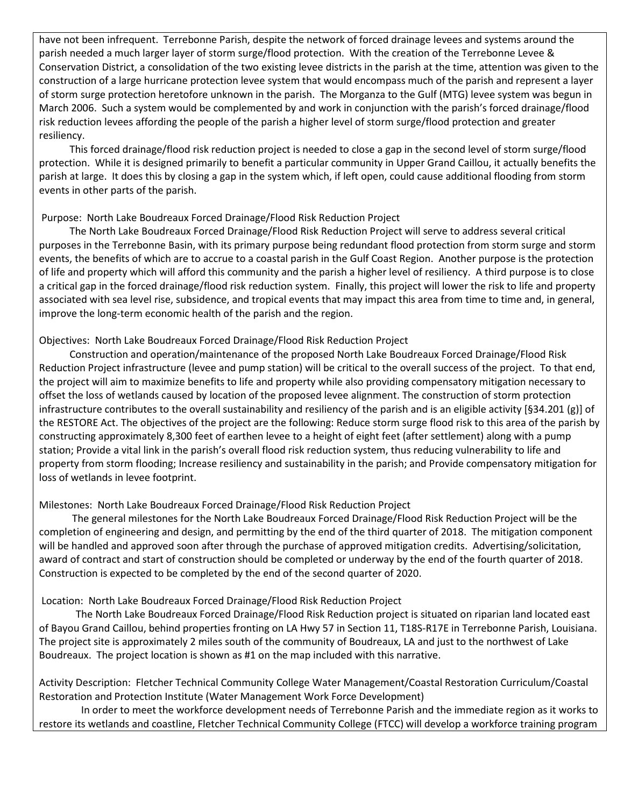have not been infrequent. Terrebonne Parish, despite the network of forced drainage levees and systems around the parish needed a much larger layer of storm surge/flood protection. With the creation of the Terrebonne Levee & Conservation District, a consolidation of the two existing levee districts in the parish at the time, attention was given to the construction of a large hurricane protection levee system that would encompass much of the parish and represent a layer of storm surge protection heretofore unknown in the parish. The Morganza to the Gulf (MTG) levee system was begun in March 2006. Such a system would be complemented by and work in conjunction with the parish's forced drainage/flood risk reduction levees affording the people of the parish a higher level of storm surge/flood protection and greater resiliency.

 This forced drainage/flood risk reduction project is needed to close a gap in the second level of storm surge/flood protection. While it is designed primarily to benefit a particular community in Upper Grand Caillou, it actually benefits the parish at large. It does this by closing a gap in the system which, if left open, could cause additional flooding from storm events in other parts of the parish.

# Purpose: North Lake Boudreaux Forced Drainage/Flood Risk Reduction Project

 The North Lake Boudreaux Forced Drainage/Flood Risk Reduction Project will serve to address several critical purposes in the Terrebonne Basin, with its primary purpose being redundant flood protection from storm surge and storm events, the benefits of which are to accrue to a coastal parish in the Gulf Coast Region. Another purpose is the protection of life and property which will afford this community and the parish a higher level of resiliency. A third purpose is to close a critical gap in the forced drainage/flood risk reduction system. Finally, this project will lower the risk to life and property associated with sea level rise, subsidence, and tropical events that may impact this area from time to time and, in general, improve the long-term economic health of the parish and the region.

# Objectives: North Lake Boudreaux Forced Drainage/Flood Risk Reduction Project

 Construction and operation/maintenance of the proposed North Lake Boudreaux Forced Drainage/Flood Risk Reduction Project infrastructure (levee and pump station) will be critical to the overall success of the project. To that end, the project will aim to maximize benefits to life and property while also providing compensatory mitigation necessary to offset the loss of wetlands caused by location of the proposed levee alignment. The construction of storm protection infrastructure contributes to the overall sustainability and resiliency of the parish and is an eligible activity [§34.201 (g)] of the RESTORE Act. The objectives of the project are the following: Reduce storm surge flood risk to this area of the parish by constructing approximately 8,300 feet of earthen levee to a height of eight feet (after settlement) along with a pump station; Provide a vital link in the parish's overall flood risk reduction system, thus reducing vulnerability to life and property from storm flooding; Increase resiliency and sustainability in the parish; and Provide compensatory mitigation for loss of wetlands in levee footprint.

# Milestones: North Lake Boudreaux Forced Drainage/Flood Risk Reduction Project

 The general milestones for the North Lake Boudreaux Forced Drainage/Flood Risk Reduction Project will be the completion of engineering and design, and permitting by the end of the third quarter of 2018. The mitigation component will be handled and approved soon after through the purchase of approved mitigation credits. Advertising/solicitation, award of contract and start of construction should be completed or underway by the end of the fourth quarter of 2018. Construction is expected to be completed by the end of the second quarter of 2020.

# Location: North Lake Boudreaux Forced Drainage/Flood Risk Reduction Project

The North Lake Boudreaux Forced Drainage/Flood Risk Reduction project is situated on riparian land located east of Bayou Grand Caillou, behind properties fronting on LA Hwy 57 in Section 11, T18S-R17E in Terrebonne Parish, Louisiana. The project site is approximately 2 miles south of the community of Boudreaux, LA and just to the northwest of Lake Boudreaux. The project location is shown as #1 on the map included with this narrative.

Activity Description: Fletcher Technical Community College Water Management/Coastal Restoration Curriculum/Coastal Restoration and Protection Institute (Water Management Work Force Development)

 In order to meet the workforce development needs of Terrebonne Parish and the immediate region as it works to restore its wetlands and coastline, Fletcher Technical Community College (FTCC) will develop a workforce training program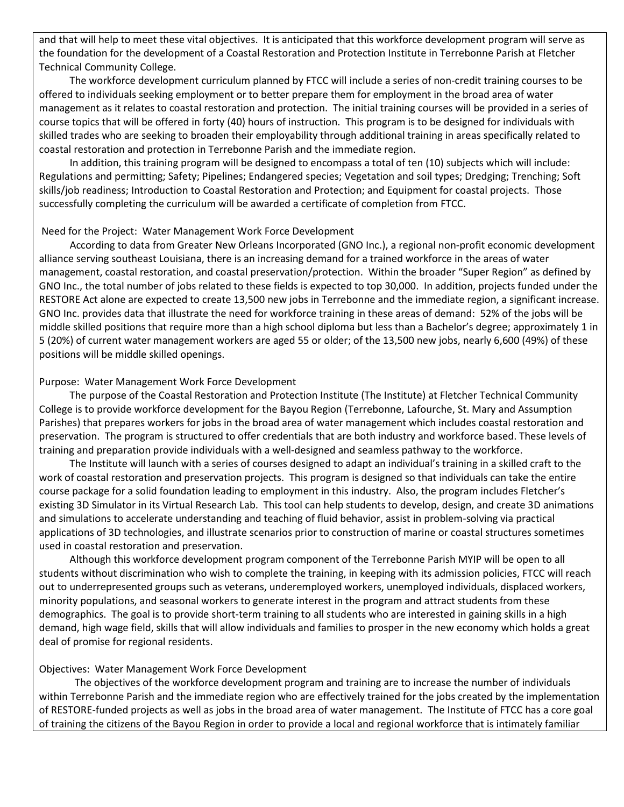and that will help to meet these vital objectives. It is anticipated that this workforce development program will serve as the foundation for the development of a Coastal Restoration and Protection Institute in Terrebonne Parish at Fletcher Technical Community College.

 The workforce development curriculum planned by FTCC will include a series of non-credit training courses to be offered to individuals seeking employment or to better prepare them for employment in the broad area of water management as it relates to coastal restoration and protection. The initial training courses will be provided in a series of course topics that will be offered in forty (40) hours of instruction. This program is to be designed for individuals with skilled trades who are seeking to broaden their employability through additional training in areas specifically related to coastal restoration and protection in Terrebonne Parish and the immediate region.

 In addition, this training program will be designed to encompass a total of ten (10) subjects which will include: Regulations and permitting; Safety; Pipelines; Endangered species; Vegetation and soil types; Dredging; Trenching; Soft skills/job readiness; Introduction to Coastal Restoration and Protection; and Equipment for coastal projects. Those successfully completing the curriculum will be awarded a certificate of completion from FTCC.

#### Need for the Project: Water Management Work Force Development

 According to data from Greater New Orleans Incorporated (GNO Inc.), a regional non-profit economic development alliance serving southeast Louisiana, there is an increasing demand for a trained workforce in the areas of water management, coastal restoration, and coastal preservation/protection. Within the broader "Super Region" as defined by GNO Inc., the total number of jobs related to these fields is expected to top 30,000. In addition, projects funded under the RESTORE Act alone are expected to create 13,500 new jobs in Terrebonne and the immediate region, a significant increase. GNO Inc. provides data that illustrate the need for workforce training in these areas of demand: 52% of the jobs will be middle skilled positions that require more than a high school diploma but less than a Bachelor's degree; approximately 1 in 5 (20%) of current water management workers are aged 55 or older; of the 13,500 new jobs, nearly 6,600 (49%) of these positions will be middle skilled openings.

# Purpose: Water Management Work Force Development

 The purpose of the Coastal Restoration and Protection Institute (The Institute) at Fletcher Technical Community College is to provide workforce development for the Bayou Region (Terrebonne, Lafourche, St. Mary and Assumption Parishes) that prepares workers for jobs in the broad area of water management which includes coastal restoration and preservation. The program is structured to offer credentials that are both industry and workforce based. These levels of training and preparation provide individuals with a well-designed and seamless pathway to the workforce.

 The Institute will launch with a series of courses designed to adapt an individual's training in a skilled craft to the work of coastal restoration and preservation projects. This program is designed so that individuals can take the entire course package for a solid foundation leading to employment in this industry. Also, the program includes Fletcher's existing 3D Simulator in its Virtual Research Lab. This tool can help students to develop, design, and create 3D animations and simulations to accelerate understanding and teaching of fluid behavior, assist in problem-solving via practical applications of 3D technologies, and illustrate scenarios prior to construction of marine or coastal structures sometimes used in coastal restoration and preservation.

 Although this workforce development program component of the Terrebonne Parish MYIP will be open to all students without discrimination who wish to complete the training, in keeping with its admission policies, FTCC will reach out to underrepresented groups such as veterans, underemployed workers, unemployed individuals, displaced workers, minority populations, and seasonal workers to generate interest in the program and attract students from these demographics. The goal is to provide short-term training to all students who are interested in gaining skills in a high demand, high wage field, skills that will allow individuals and families to prosper in the new economy which holds a great deal of promise for regional residents.

# Objectives: Water Management Work Force Development

 The objectives of the workforce development program and training are to increase the number of individuals within Terrebonne Parish and the immediate region who are effectively trained for the jobs created by the implementation of RESTORE-funded projects as well as jobs in the broad area of water management. The Institute of FTCC has a core goal of training the citizens of the Bayou Region in order to provide a local and regional workforce that is intimately familiar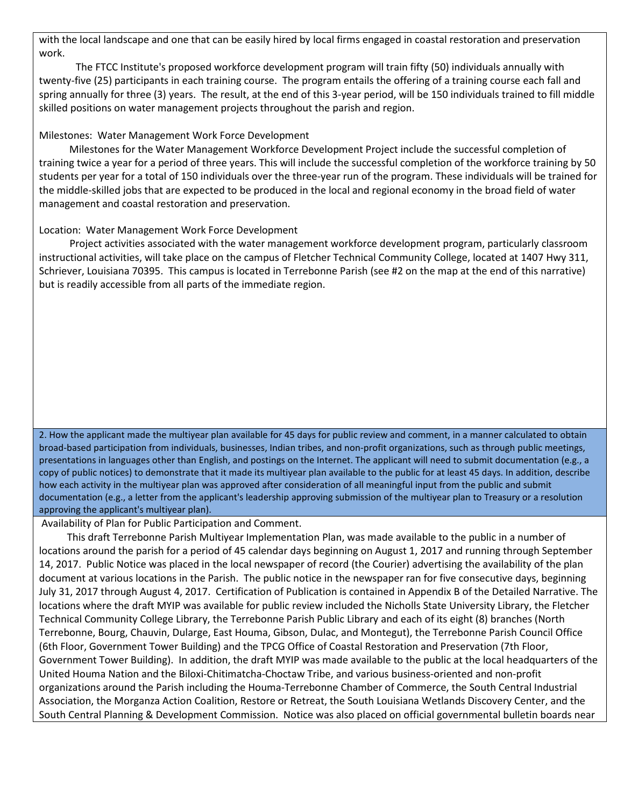with the local landscape and one that can be easily hired by local firms engaged in coastal restoration and preservation work.

The FTCC Institute's proposed workforce development program will train fifty (50) individuals annually with twenty-five (25) participants in each training course. The program entails the offering of a training course each fall and spring annually for three (3) years. The result, at the end of this 3-year period, will be 150 individuals trained to fill middle skilled positions on water management projects throughout the parish and region.

### Milestones: Water Management Work Force Development

 Milestones for the Water Management Workforce Development Project include the successful completion of training twice a year for a period of three years. This will include the successful completion of the workforce training by 50 students per year for a total of 150 individuals over the three-year run of the program. These individuals will be trained for the middle-skilled jobs that are expected to be produced in the local and regional economy in the broad field of water management and coastal restoration and preservation.

# Location: Water Management Work Force Development

 Project activities associated with the water management workforce development program, particularly classroom instructional activities, will take place on the campus of Fletcher Technical Community College, located at 1407 Hwy 311, Schriever, Louisiana 70395. This campus is located in Terrebonne Parish (see #2 on the map at the end of this narrative) but is readily accessible from all parts of the immediate region.

2. How the applicant made the multiyear plan available for 45 days for public review and comment, in a manner calculated to obtain broad-based participation from individuals, businesses, Indian tribes, and non-profit organizations, such as through public meetings, presentations in languages other than English, and postings on the Internet. The applicant will need to submit documentation (e.g., a copy of public notices) to demonstrate that it made its multiyear plan available to the public for at least 45 days. In addition, describe how each activity in the multiyear plan was approved after consideration of all meaningful input from the public and submit documentation (e.g., a letter from the applicant's leadership approving submission of the multiyear plan to Treasury or a resolution approving the applicant's multiyear plan).

Availability of Plan for Public Participation and Comment.

 This draft Terrebonne Parish Multiyear Implementation Plan, was made available to the public in a number of locations around the parish for a period of 45 calendar days beginning on August 1, 2017 and running through September 14, 2017. Public Notice was placed in the local newspaper of record (the Courier) advertising the availability of the plan document at various locations in the Parish. The public notice in the newspaper ran for five consecutive days, beginning July 31, 2017 through August 4, 2017. Certification of Publication is contained in Appendix B of the Detailed Narrative. The locations where the draft MYIP was available for public review included the Nicholls State University Library, the Fletcher Technical Community College Library, the Terrebonne Parish Public Library and each of its eight (8) branches (North Terrebonne, Bourg, Chauvin, Dularge, East Houma, Gibson, Dulac, and Montegut), the Terrebonne Parish Council Office (6th Floor, Government Tower Building) and the TPCG Office of Coastal Restoration and Preservation (7th Floor, Government Tower Building). In addition, the draft MYIP was made available to the public at the local headquarters of the United Houma Nation and the Biloxi-Chitimatcha-Choctaw Tribe, and various business-oriented and non-profit organizations around the Parish including the Houma-Terrebonne Chamber of Commerce, the South Central Industrial Association, the Morganza Action Coalition, Restore or Retreat, the South Louisiana Wetlands Discovery Center, and the South Central Planning & Development Commission. Notice was also placed on official governmental bulletin boards near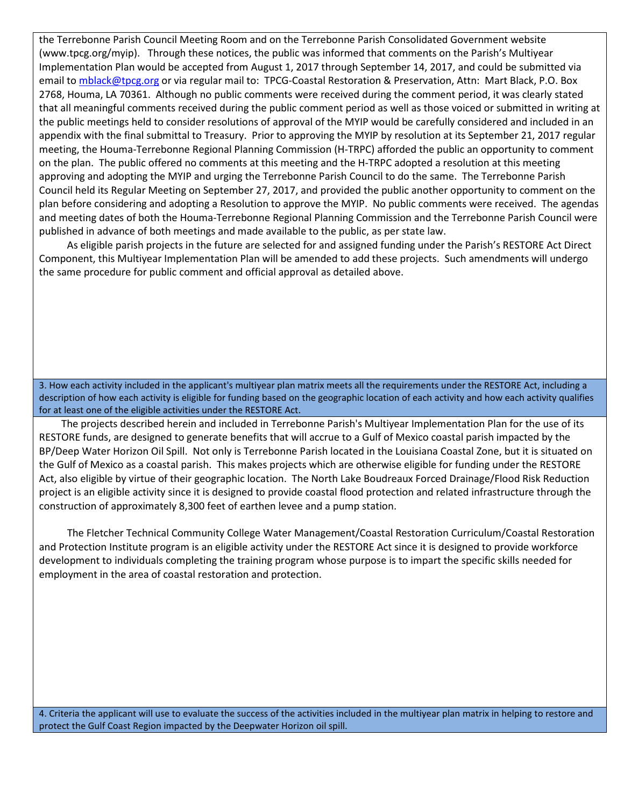the Terrebonne Parish Council Meeting Room and on the Terrebonne Parish Consolidated Government website (www.tpcg.org/myip). Through these notices, the public was informed that comments on the Parish's Multiyear Implementation Plan would be accepted from August 1, 2017 through September 14, 2017, and could be submitted via email t[o mblack@tpcg.org](mailto:mblack@tpcg.org) or via regular mail to: TPCG-Coastal Restoration & Preservation, Attn: Mart Black, P.O. Box 2768, Houma, LA 70361. Although no public comments were received during the comment period, it was clearly stated that all meaningful comments received during the public comment period as well as those voiced or submitted in writing at the public meetings held to consider resolutions of approval of the MYIP would be carefully considered and included in an appendix with the final submittal to Treasury. Prior to approving the MYIP by resolution at its September 21, 2017 regular meeting, the Houma-Terrebonne Regional Planning Commission (H-TRPC) afforded the public an opportunity to comment on the plan. The public offered no comments at this meeting and the H-TRPC adopted a resolution at this meeting approving and adopting the MYIP and urging the Terrebonne Parish Council to do the same. The Terrebonne Parish Council held its Regular Meeting on September 27, 2017, and provided the public another opportunity to comment on the plan before considering and adopting a Resolution to approve the MYIP. No public comments were received. The agendas and meeting dates of both the Houma-Terrebonne Regional Planning Commission and the Terrebonne Parish Council were published in advance of both meetings and made available to the public, as per state law.

 As eligible parish projects in the future are selected for and assigned funding under the Parish's RESTORE Act Direct Component, this Multiyear Implementation Plan will be amended to add these projects. Such amendments will undergo the same procedure for public comment and official approval as detailed above.

3. How each activity included in the applicant's multiyear plan matrix meets all the requirements under the RESTORE Act, including a description of how each activity is eligible for funding based on the geographic location of each activity and how each activity qualifies for at least one of the eligible activities under the RESTORE Act.

 The projects described herein and included in Terrebonne Parish's Multiyear Implementation Plan for the use of its RESTORE funds, are designed to generate benefits that will accrue to a Gulf of Mexico coastal parish impacted by the BP/Deep Water Horizon Oil Spill. Not only is Terrebonne Parish located in the Louisiana Coastal Zone, but it is situated on the Gulf of Mexico as a coastal parish. This makes projects which are otherwise eligible for funding under the RESTORE Act, also eligible by virtue of their geographic location. The North Lake Boudreaux Forced Drainage/Flood Risk Reduction project is an eligible activity since it is designed to provide coastal flood protection and related infrastructure through the construction of approximately 8,300 feet of earthen levee and a pump station.

 The Fletcher Technical Community College Water Management/Coastal Restoration Curriculum/Coastal Restoration and Protection Institute program is an eligible activity under the RESTORE Act since it is designed to provide workforce development to individuals completing the training program whose purpose is to impart the specific skills needed for employment in the area of coastal restoration and protection.

4. Criteria the applicant will use to evaluate the success of the activities included in the multiyear plan matrix in helping to restore and protect the Gulf Coast Region impacted by the Deepwater Horizon oil spill.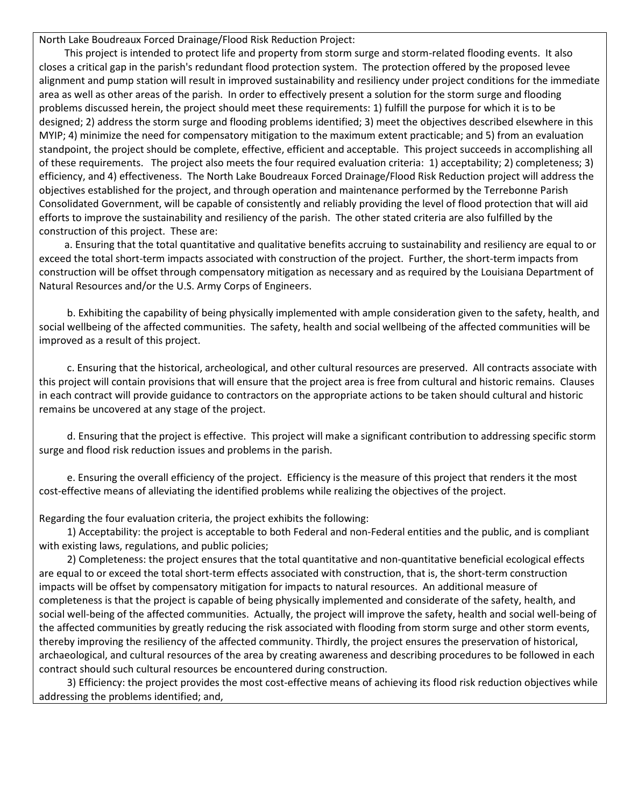North Lake Boudreaux Forced Drainage/Flood Risk Reduction Project:

 This project is intended to protect life and property from storm surge and storm-related flooding events. It also closes a critical gap in the parish's redundant flood protection system. The protection offered by the proposed levee alignment and pump station will result in improved sustainability and resiliency under project conditions for the immediate area as well as other areas of the parish. In order to effectively present a solution for the storm surge and flooding problems discussed herein, the project should meet these requirements: 1) fulfill the purpose for which it is to be designed; 2) address the storm surge and flooding problems identified; 3) meet the objectives described elsewhere in this MYIP; 4) minimize the need for compensatory mitigation to the maximum extent practicable; and 5) from an evaluation standpoint, the project should be complete, effective, efficient and acceptable. This project succeeds in accomplishing all of these requirements. The project also meets the four required evaluation criteria: 1) acceptability; 2) completeness; 3) efficiency, and 4) effectiveness. The North Lake Boudreaux Forced Drainage/Flood Risk Reduction project will address the objectives established for the project, and through operation and maintenance performed by the Terrebonne Parish Consolidated Government, will be capable of consistently and reliably providing the level of flood protection that will aid efforts to improve the sustainability and resiliency of the parish. The other stated criteria are also fulfilled by the construction of this project. These are:

 a. Ensuring that the total quantitative and qualitative benefits accruing to sustainability and resiliency are equal to or exceed the total short-term impacts associated with construction of the project. Further, the short-term impacts from construction will be offset through compensatory mitigation as necessary and as required by the Louisiana Department of Natural Resources and/or the U.S. Army Corps of Engineers.

 b. Exhibiting the capability of being physically implemented with ample consideration given to the safety, health, and social wellbeing of the affected communities. The safety, health and social wellbeing of the affected communities will be improved as a result of this project.

 c. Ensuring that the historical, archeological, and other cultural resources are preserved. All contracts associate with this project will contain provisions that will ensure that the project area is free from cultural and historic remains. Clauses in each contract will provide guidance to contractors on the appropriate actions to be taken should cultural and historic remains be uncovered at any stage of the project.

 d. Ensuring that the project is effective. This project will make a significant contribution to addressing specific storm surge and flood risk reduction issues and problems in the parish.

 e. Ensuring the overall efficiency of the project. Efficiency is the measure of this project that renders it the most cost-effective means of alleviating the identified problems while realizing the objectives of the project.

Regarding the four evaluation criteria, the project exhibits the following:

 1) Acceptability: the project is acceptable to both Federal and non-Federal entities and the public, and is compliant with existing laws, regulations, and public policies;

 2) Completeness: the project ensures that the total quantitative and non-quantitative beneficial ecological effects are equal to or exceed the total short-term effects associated with construction, that is, the short-term construction impacts will be offset by compensatory mitigation for impacts to natural resources. An additional measure of completeness is that the project is capable of being physically implemented and considerate of the safety, health, and social well-being of the affected communities. Actually, the project will improve the safety, health and social well-being of the affected communities by greatly reducing the risk associated with flooding from storm surge and other storm events, thereby improving the resiliency of the affected community. Thirdly, the project ensures the preservation of historical, archaeological, and cultural resources of the area by creating awareness and describing procedures to be followed in each contract should such cultural resources be encountered during construction.

 3) Efficiency: the project provides the most cost-effective means of achieving its flood risk reduction objectives while addressing the problems identified; and,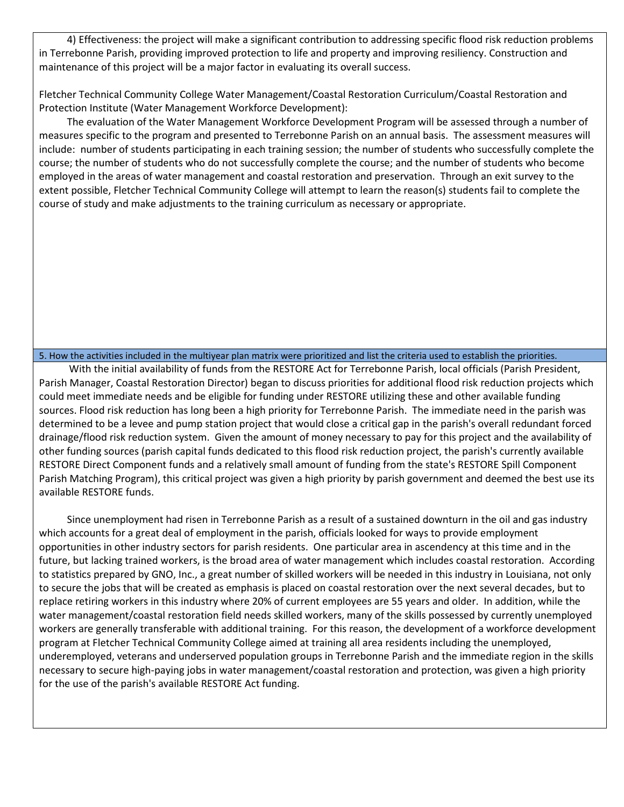4) Effectiveness: the project will make a significant contribution to addressing specific flood risk reduction problems in Terrebonne Parish, providing improved protection to life and property and improving resiliency. Construction and maintenance of this project will be a major factor in evaluating its overall success.

Fletcher Technical Community College Water Management/Coastal Restoration Curriculum/Coastal Restoration and Protection Institute (Water Management Workforce Development):

 The evaluation of the Water Management Workforce Development Program will be assessed through a number of measures specific to the program and presented to Terrebonne Parish on an annual basis. The assessment measures will include: number of students participating in each training session; the number of students who successfully complete the course; the number of students who do not successfully complete the course; and the number of students who become employed in the areas of water management and coastal restoration and preservation. Through an exit survey to the extent possible, Fletcher Technical Community College will attempt to learn the reason(s) students fail to complete the course of study and make adjustments to the training curriculum as necessary or appropriate.

#### 5. How the activities included in the multiyear plan matrix were prioritized and list the criteria used to establish the priorities.

 With the initial availability of funds from the RESTORE Act for Terrebonne Parish, local officials (Parish President, Parish Manager, Coastal Restoration Director) began to discuss priorities for additional flood risk reduction projects which could meet immediate needs and be eligible for funding under RESTORE utilizing these and other available funding sources. Flood risk reduction has long been a high priority for Terrebonne Parish. The immediate need in the parish was determined to be a levee and pump station project that would close a critical gap in the parish's overall redundant forced drainage/flood risk reduction system. Given the amount of money necessary to pay for this project and the availability of other funding sources (parish capital funds dedicated to this flood risk reduction project, the parish's currently available RESTORE Direct Component funds and a relatively small amount of funding from the state's RESTORE Spill Component Parish Matching Program), this critical project was given a high priority by parish government and deemed the best use its available RESTORE funds.

 Since unemployment had risen in Terrebonne Parish as a result of a sustained downturn in the oil and gas industry which accounts for a great deal of employment in the parish, officials looked for ways to provide employment opportunities in other industry sectors for parish residents. One particular area in ascendency at this time and in the future, but lacking trained workers, is the broad area of water management which includes coastal restoration. According to statistics prepared by GNO, Inc., a great number of skilled workers will be needed in this industry in Louisiana, not only to secure the jobs that will be created as emphasis is placed on coastal restoration over the next several decades, but to replace retiring workers in this industry where 20% of current employees are 55 years and older. In addition, while the water management/coastal restoration field needs skilled workers, many of the skills possessed by currently unemployed workers are generally transferable with additional training. For this reason, the development of a workforce development program at Fletcher Technical Community College aimed at training all area residents including the unemployed, underemployed, veterans and underserved population groups in Terrebonne Parish and the immediate region in the skills necessary to secure high-paying jobs in water management/coastal restoration and protection, was given a high priority for the use of the parish's available RESTORE Act funding.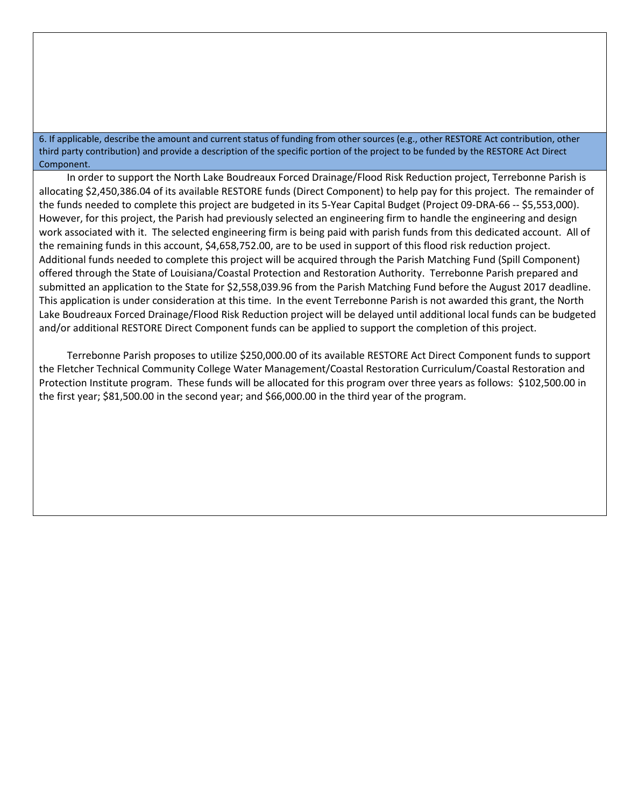6. If applicable, describe the amount and current status of funding from other sources (e.g., other RESTORE Act contribution, other third party contribution) and provide a description of the specific portion of the project to be funded by the RESTORE Act Direct Component.

 In order to support the North Lake Boudreaux Forced Drainage/Flood Risk Reduction project, Terrebonne Parish is allocating \$2,450,386.04 of its available RESTORE funds (Direct Component) to help pay for this project. The remainder of the funds needed to complete this project are budgeted in its 5-Year Capital Budget (Project 09-DRA-66 -- \$5,553,000). However, for this project, the Parish had previously selected an engineering firm to handle the engineering and design work associated with it. The selected engineering firm is being paid with parish funds from this dedicated account. All of the remaining funds in this account, \$4,658,752.00, are to be used in support of this flood risk reduction project. Additional funds needed to complete this project will be acquired through the Parish Matching Fund (Spill Component) offered through the State of Louisiana/Coastal Protection and Restoration Authority. Terrebonne Parish prepared and submitted an application to the State for \$2,558,039.96 from the Parish Matching Fund before the August 2017 deadline. This application is under consideration at this time. In the event Terrebonne Parish is not awarded this grant, the North Lake Boudreaux Forced Drainage/Flood Risk Reduction project will be delayed until additional local funds can be budgeted and/or additional RESTORE Direct Component funds can be applied to support the completion of this project.

 Terrebonne Parish proposes to utilize \$250,000.00 of its available RESTORE Act Direct Component funds to support the Fletcher Technical Community College Water Management/Coastal Restoration Curriculum/Coastal Restoration and Protection Institute program. These funds will be allocated for this program over three years as follows: \$102,500.00 in the first year; \$81,500.00 in the second year; and \$66,000.00 in the third year of the program.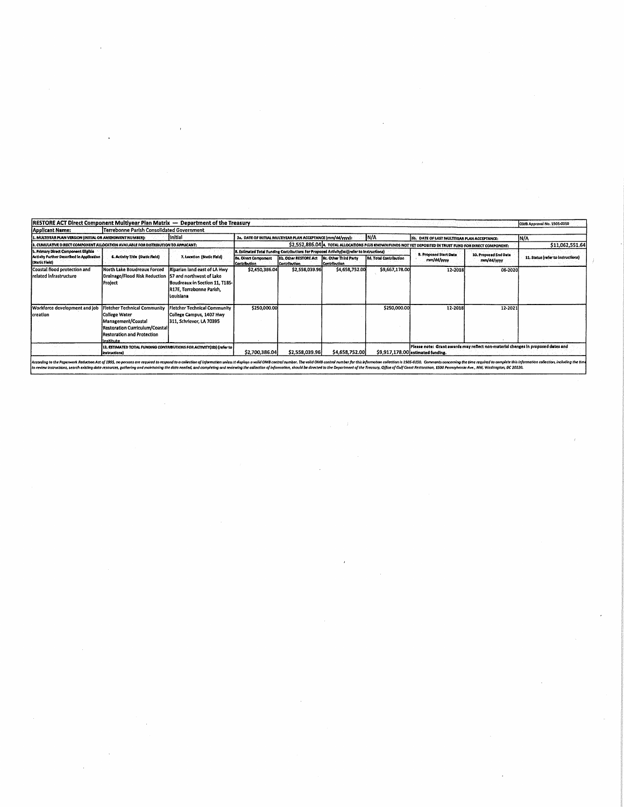| <b>RESTORE ACT Direct Component Multiyear Plan Matrix - Department of the Treasury</b><br>Applicant Name: | Terrebonne Parish Consolidated Government                                                                                                                      |                                                                                                                                     |                                                                                                                    |                                                                                                                                                                   |                |                               |                                                                                                                       |                                     | OMB Approval No. 1505-0250         |  |
|-----------------------------------------------------------------------------------------------------------|----------------------------------------------------------------------------------------------------------------------------------------------------------------|-------------------------------------------------------------------------------------------------------------------------------------|--------------------------------------------------------------------------------------------------------------------|-------------------------------------------------------------------------------------------------------------------------------------------------------------------|----------------|-------------------------------|-----------------------------------------------------------------------------------------------------------------------|-------------------------------------|------------------------------------|--|
| 1. MULTIYEAR PLAN VERSION (INITIAL OR AMENDMENT NUMBER):                                                  |                                                                                                                                                                | IInitial                                                                                                                            | IN/A<br>2a. DATE OF INITIAL MULTIYEAR PLAN ACCEPTANCE (mm/dd/yyyy):<br>2b. DATE OF LAST MULTIYEAR PLAN ACCEPTANCE: |                                                                                                                                                                   |                |                               |                                                                                                                       | In/a                                |                                    |  |
| 3. CUMULATIVE DIRECT COMPONENT ALLOCATION AVAILABLE FOR DISTRIBUTION TO APPLICANT:                        |                                                                                                                                                                | \$2,552,886.04 A. TOTAL ALLOCATIONS PLUS KNOWN FUNDS NOT YET DEPOSITED IN TRUST FUND FOR DIRECT COMPONENT:                          |                                                                                                                    |                                                                                                                                                                   |                |                               |                                                                                                                       | \$11,062,551.64                     |                                    |  |
| 5. Primary Direct Component Eligibia<br>Activity Further Described in Application<br>(Static Field)       | 6. Activity Title (Static Field)                                                                                                                               | 7. Location (Static Held)                                                                                                           | <b>8a. Direct Component</b><br><b>Contribution</b>                                                                 | 8. Estimated Total Funding Contributions For Proposed Activity(ies)(refer to Instructions)<br><b>8b, Other RESTORE Act 18c, Other Third Party</b><br>Contribution | Contribution   | <b>8d. Total Contribution</b> | 9. Proposed Start Date<br>mm/dd/www                                                                                   | 10. Proposed End Date<br>mm/dd/yyyy | 11. Status (refer to instructions) |  |
| Coastal flood protection and<br>frelated infrastructure                                                   | North Lake Boudreaux Forced<br>Drainage/Flood Risk Reduction<br>Project                                                                                        | Riparian land east of LA Hwy<br>57 and northwest of Lake<br>Boudreaux in Section 11, T18S-<br>R17E, Terrebonne Parish,<br>Louisiana | \$2,450,386.04                                                                                                     | \$2,558,039.96                                                                                                                                                    | \$4,658,752.00 | \$9,667,178.00                | 12-2018                                                                                                               | 06-2020                             |                                    |  |
| Workforce development and job<br>Icreation                                                                | <b>Fletcher Technical Community</b><br><b>College Water</b><br>Management/Coastal<br>Restoration Curriculum/Coastal<br>Restoration and Protection<br>inctituta | Fletcher Technical Community<br>College Campus, 1407 Hwy<br>311, Schriever, LA 70395                                                | \$250,000.00                                                                                                       |                                                                                                                                                                   |                | \$250,000.00                  | 12-2018                                                                                                               | 12-2021                             |                                    |  |
|                                                                                                           | 12. ESTIMATED TOTAL FUNDING CONTRIBUTIONS FOR ACTIVITY(IES) (refer to<br>linstructions)                                                                        |                                                                                                                                     |                                                                                                                    | \$2,700,386.04<br>\$2,558,039.96                                                                                                                                  | \$4,658,752,00 |                               | Please note: Grant awards may reflect non-material changes in proposed dates and<br>\$9,917,178,00 estimated funding. |                                     |                                    |  |

 $\label{eq:2.1} \frac{1}{\sqrt{2\pi}}\int_{\mathbb{R}^3}\frac{d\mu}{\sqrt{2\pi}}\left(\frac{d\mu}{\mu}\right)^2\frac{d\mu}{\sqrt{2\pi}}\frac{d\mu}{\sqrt{2\pi}}\frac{d\mu}{\sqrt{2\pi}}\frac{d\mu}{\sqrt{2\pi}}\frac{d\mu}{\sqrt{2\pi}}\frac{d\mu}{\sqrt{2\pi}}\frac{d\mu}{\sqrt{2\pi}}\frac{d\mu}{\sqrt{2\pi}}\frac{d\mu}{\sqrt{2\pi}}\frac{d\mu}{\sqrt{2\pi}}\frac{d\mu}{\sqrt{2\pi}}\frac{d\$ 

 $\sim$   $\sim$ 

 $\langle \hat{f}^{\dagger} \rangle$  .

 $\frac{1}{2} \sum_{i=1}^{n} \frac{1}{2} \sum_{j=1}^{n} \frac{1}{2} \sum_{j=1}^{n} \frac{1}{2} \sum_{j=1}^{n} \frac{1}{2} \sum_{j=1}^{n} \frac{1}{2} \sum_{j=1}^{n} \frac{1}{2} \sum_{j=1}^{n} \frac{1}{2} \sum_{j=1}^{n} \frac{1}{2} \sum_{j=1}^{n} \frac{1}{2} \sum_{j=1}^{n} \frac{1}{2} \sum_{j=1}^{n} \frac{1}{2} \sum_{j=1}^{n} \frac{1}{2} \sum_{j=1}^{n$ 

 $\mathcal{F}^{\text{max}}_{\text{max}}$